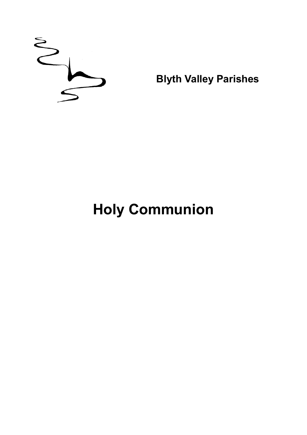

**Blyth Valley Parishes**

## **Holy Communion**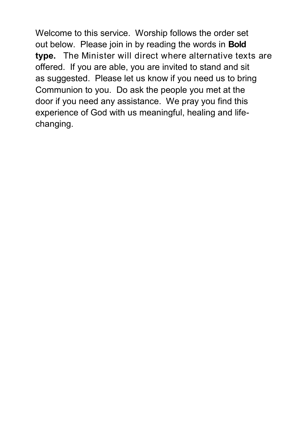Welcome to this service. Worship follows the order set out below. Please join in by reading the words in **Bold type.** The Minister will direct where alternative texts are offered. If you are able, you are invited to stand and sit as suggested. Please let us know if you need us to bring Communion to you. Do ask the people you met at the door if you need any assistance. We pray you find this experience of God with us meaningful, healing and lifechanging.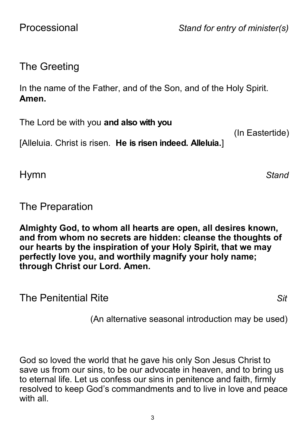The Greeting

In the name of the Father, and of the Son, and of the Holy Spirit. **Amen.**

The Lord be with you **and also with you**

(In Eastertide)

[Alleluia. Christ is risen. **He is risen indeed. Alleluia.**]

Hymn *Stand*

The Preparation

**Almighty God, to whom all hearts are open, all desires known, and from whom no secrets are hidden: cleanse the thoughts of our hearts by the inspiration of your Holy Spirit, that we may perfectly love you, and worthily magnify your holy name; through Christ our Lord. Amen.**

The Penitential Rite *Sit*

(An alternative seasonal introduction may be used)

God so loved the world that he gave his only Son Jesus Christ to save us from our sins, to be our advocate in heaven, and to bring us to eternal life. Let us confess our sins in penitence and faith, firmly resolved to keep God's commandments and to live in love and peace with all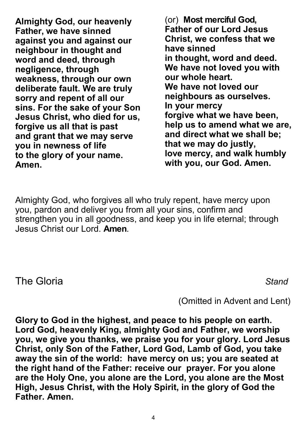**Almighty God, our heavenly Father, we have sinned against you and against our neighbour in thought and word and deed, through negligence, through weakness, through our own deliberate fault. We are truly sorry and repent of all our sins. For the sake of your Son Jesus Christ, who died for us, forgive us all that is past and grant that we may serve you in newness of life to the glory of your name. Amen.**

(or) **Most merciful God, Father of our Lord Jesus Christ, we confess that we have sinned in thought, word and deed. We have not loved you with our whole heart. We have not loved our neighbours as ourselves. In your mercy forgive what we have been, help us to amend what we are, and direct what we shall be; that we may do justly, love mercy, and walk humbly with you, our God. Amen.**

Almighty God, who forgives all who truly repent, have mercy upon you, pardon and deliver you from all your sins, confirm and strengthen you in all goodness, and keep you in life eternal; through Jesus Christ our Lord. **Amen**.

The Gloria *Stand*

(Omitted in Advent and Lent)

**Glory to God in the highest, and peace to his people on earth. Lord God, heavenly King, almighty God and Father, we worship you, we give you thanks, we praise you for your glory. Lord Jesus Christ, only Son of the Father, Lord God, Lamb of God, you take away the sin of the world: have mercy on us; you are seated at the right hand of the Father: receive our prayer. For you alone are the Holy One, you alone are the Lord, you alone are the Most High, Jesus Christ, with the Holy Spirit, in the glory of God the Father. Amen.**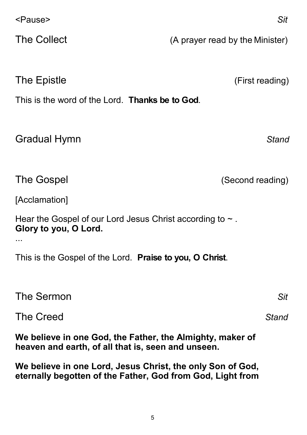<Pause> *Sit*

The Collect **(A prayer read by the Minister)** 

The Epistle (First reading)

This is the word of the Lord. **Thanks be to God**.

| Gradual Hymn                                                                            | Stand            |
|-----------------------------------------------------------------------------------------|------------------|
| The Gospel                                                                              | (Second reading) |
| [Acclamation]                                                                           |                  |
| Hear the Gospel of our Lord Jesus Christ according to $\sim$ .<br>Glory to you, O Lord. |                  |
| This is the Gospel of the Lord. Praise to you, O Christ.                                |                  |
| The Sermon                                                                              | Sit              |
| <b>The Creed</b>                                                                        | Stand            |
|                                                                                         |                  |

**We believe in one God, the Father, the Almighty, maker of heaven and earth, of all that is, seen and unseen.**

**We believe in one Lord, Jesus Christ, the only Son of God, eternally begotten of the Father, God from God, Light from**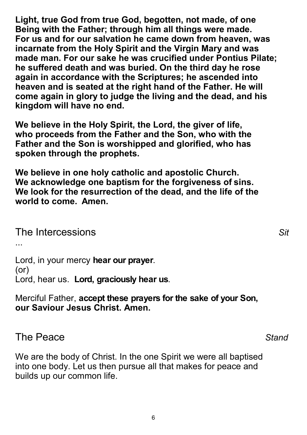**Light, true God from true God, begotten, not made, of one Being with the Father; through him all things were made. For us and for our salvation he came down from heaven, was incarnate from the Holy Spirit and the Virgin Mary and was made man. For our sake he was crucified under Pontius Pilate; he suffered death and was buried. On the third day he rose again in accordance with the Scriptures; he ascended into heaven and is seated at the right hand of the Father. He will come again in glory to judge the living and the dead, and his kingdom will have no end.**

**We believe in the Holy Spirit, the Lord, the giver of life, who proceeds from the Father and the Son, who with the Father and the Son is worshipped and glorified, who has spoken through the prophets.**

**We believe in one holy catholic and apostolic Church. We acknowledge one baptism for the forgiveness of sins. We look for the resurrection of the dead, and the life of the world to come. Amen.**

The Intercessions *Sit*

...

Lord, in your mercy **hear our prayer**. (or) Lord, hear us. **Lord, graciously hear us**.

Merciful Father, **accept these prayers for the sake of your Son, our Saviour Jesus Christ. Amen.**

The Peace *Stand*

We are the body of Christ. In the one Spirit we were all baptised into one body. Let us then pursue all that makes for peace and builds up our common life.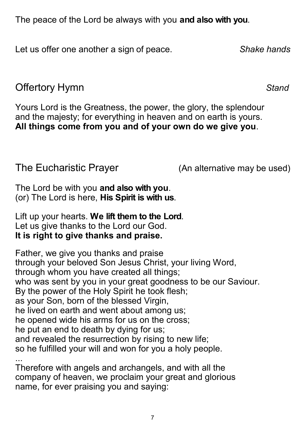7

The peace of the Lord be always with you **and also with you**.

Let us offer one another a sign of peace. *Shake hands*

Offertory Hymn *Stand*

Yours Lord is the Greatness, the power, the glory, the splendour and the majesty; for everything in heaven and on earth is yours. **All things come from you and of your own do we give you**.

The Eucharistic Prayer (An alternative may be used)

The Lord be with you **and also with you**. (or) The Lord is here, **His Spirit is with us**.

Lift up your hearts. **We lift them to the Lord**. Let us give thanks to the Lord our God. **It is right to give thanks and praise.**

Father, we give you thanks and praise through your beloved Son Jesus Christ, your living Word, through whom you have created all things; who was sent by you in your great goodness to be our Saviour. By the power of the Holy Spirit he took flesh; as your Son, born of the blessed Virgin, he lived on earth and went about among us; he opened wide his arms for us on the cross; he put an end to death by dying for us; and revealed the resurrection by rising to new life; so he fulfilled your will and won for you a holy people. ...

Therefore with angels and archangels, and with all the company of heaven, we proclaim your great and glorious name, for ever praising you and saying: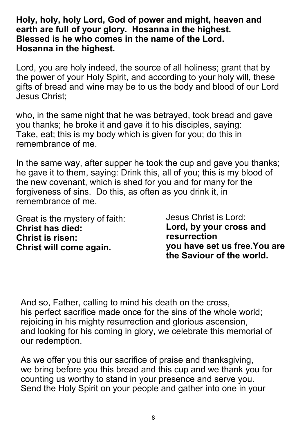**Holy, holy, holy Lord, God of power and might, heaven and earth are full of your glory. Hosanna in the highest. Blessed is he who comes in the name of the Lord. Hosanna in the highest.**

Lord, you are holy indeed, the source of all holiness; grant that by the power of your Holy Spirit, and according to your holy will, these gifts of bread and wine may be to us the body and blood of our Lord Jesus Christ;

who, in the same night that he was betrayed, took bread and gave you thanks; he broke it and gave it to his disciples, saying: Take, eat; this is my body which is given for you; do this in remembrance of me.

In the same way, after supper he took the cup and gave you thanks; he gave it to them, saying: Drink this, all of you; this is my blood of the new covenant, which is shed for you and for many for the forgiveness of sins. Do this, as often as you drink it, in remembrance of me.

Great is the mystery of faith: **Christ has died: Christ is risen: Christ will come again.**

Jesus Christ is Lord: **Lord, by your cross and resurrection you have set us free.You are the Saviour of the world.**

And so, Father, calling to mind his death on the cross, his perfect sacrifice made once for the sins of the whole world; rejoicing in his mighty resurrection and glorious ascension, and looking for his coming in glory, we celebrate this memorial of our redemption.

As we offer you this our sacrifice of praise and thanksgiving. we bring before you this bread and this cup and we thank you for counting us worthy to stand in your presence and serve you. Send the Holy Spirit on your people and gather into one in your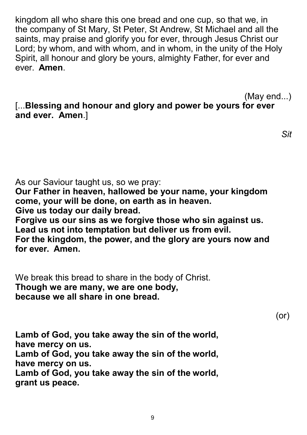kingdom all who share this one bread and one cup, so that we, in the company of St Mary, St Peter, St Andrew, St Michael and all the saints, may praise and glorify you for ever, through Jesus Christ our Lord; by whom, and with whom, and in whom, in the unity of the Holy Spirit, all honour and glory be yours, almighty Father, for ever and ever. **Amen**.

 (May end...) [...**Blessing and honour and glory and power be yours for ever and ever. Amen**.]

As our Saviour taught us, so we pray: **Our Father in heaven, hallowed be your name, your kingdom come, your will be done, on earth as in heaven. Give us today our daily bread. Forgive us our sins as we forgive those who sin against us.**

**Lead us not into temptation but deliver us from evil. For the kingdom, the power, and the glory are yours now and for ever. Amen.**

We break this bread to share in the body of Christ. **Though we are many, we are one body, because we all share in one bread.**

(or)

**Lamb of God, you take away the sin of the world, have mercy on us. Lamb of God, you take away the sin of the world, have mercy on us. Lamb of God, you take away the sin of the world, grant us peace.**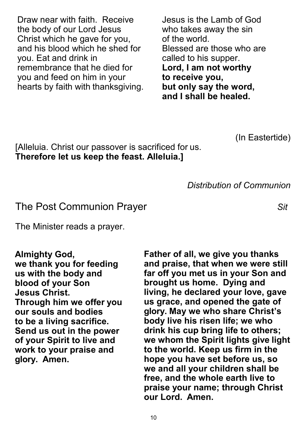Draw near with faith. Receive the body of our Lord Jesus Christ which he gave for you, and his blood which he shed for you. Eat and drink in remembrance that he died for you and feed on him in your hearts by faith with thanksgiving. Jesus is the Lamb of God who takes away the sin of the world. Blessed are those who are called to his supper. **Lord, I am not worthy to receive you, but only say the word, and I shall be healed.**

(In Eastertide)

[Alleluia. Christ our passover is sacrificed for us. **Therefore let us keep the feast. Alleluia.]**

*Distribution of Communion*

## The Post Communion Prayer *Sit*

The Minister reads a prayer.

**Almighty God, we thank you for feeding us with the body and blood of your Son Jesus Christ. Through him we offer you our souls and bodies to be a living sacrifice. Send us out in the power of your Spirit to live and work to your praise and glory. Amen.**

**Father of all, we give you thanks and praise, that when we were still far off you met us in your Son and brought us home. Dying and living, he declared your love, gave us grace, and opened the gate of glory. May we who share Christ's body live his risen life; we who drink his cup bring life to others; we whom the Spirit lights give light to the world. Keep us firm in the hope you have set before us, so we and all your children shall be free, and the whole earth live to praise your name; through Christ our Lord. Amen.**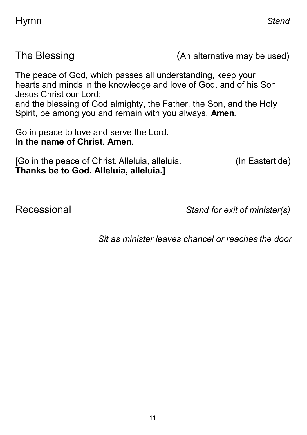Hymn *Stand*

The Blessing (An alternative may be used)

The peace of God, which passes all understanding, keep your hearts and minds in the knowledge and love of God, and of his Son Jesus Christ our Lord;

and the blessing of God almighty, the Father, the Son, and the Holy Spirit, be among you and remain with you always. **Amen**.

Go in peace to love and serve the Lord. **In the name of Christ. Amen.**

[Go in the peace of Christ. Alleluia, alleluia. (In Eastertide) **Thanks be to God. Alleluia, alleluia.]**

Recessional *Stand for exit of minister(s)*

*Sit as minister leaves chancel or reaches the door*